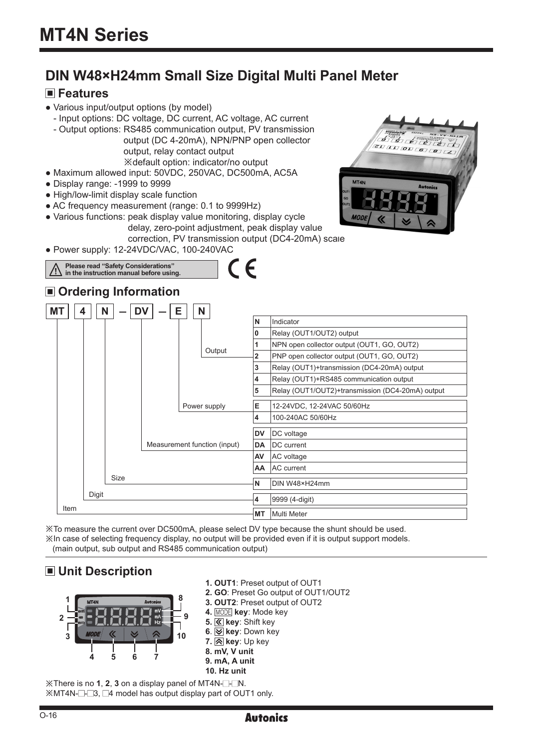# **DIN W48×H24mm Small Size Digital Multi Panel Meter**

# **Features**

- Various input/output options (by model)
- Input options: DC voltage, DC current, AC voltage, AC current - Output options: RS485 communication output, PV transmission
	- output (DC 4-20mA), NPN/PNP open collector output, relay contact output ※default option: indicator/no output
- Maximum allowed input: 50VDC, 250VAC, DC500mA, AC5A
- Display range: -1999 to 9999
- High/low-limit display scale function
- AC frequency measurement (range: 0.1 to 9999Hz)
- Various functions: peak display value monitoring, display cycle delay, zero-point adjustment, peak display value

correction, PV transmission output (DC4-20mA) scale

● Power supply: 12-24VDC/VAC, 100-240VAC



※To measure the current over DC500mA, please select DV type because the shunt should be used. ※In case of selecting frequency display, no output will be provided even if it is output support models. (main output, sub output and RS485 communication output)

# **Unit Description**



 $\mathbb{X}$ There is no 1, 2, 3 on a display panel of MT4N- $\Box$ - $\Box$ N.  $\mathbb X$ MT4N- $\Box$ - $\Box$ 3,  $\Box$ 4 model has output display part of OUT1 only.



O-16

**1. OUT1**: Preset output of OUT1

**2. GO**: Preset Go output of OUT1/OUT2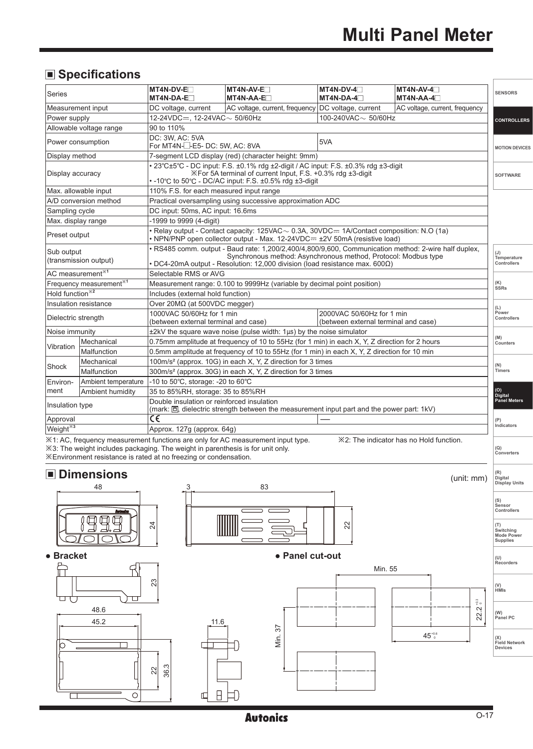# **Specifications**

| Series                                                        |                                     | MT4N-DV-E<br>MT4N-DA-E                                                                                                                        | MT4N-AV-E<br>MT4N-AA-E                                                                                                                                                                                                                                                                       | MT4N-DV-4<br>$MT4N-DA-4$                                          | MT4N-AV-4<br>$MT4N-AA-4$                | <b>SENSORS</b>              |  |  |
|---------------------------------------------------------------|-------------------------------------|-----------------------------------------------------------------------------------------------------------------------------------------------|----------------------------------------------------------------------------------------------------------------------------------------------------------------------------------------------------------------------------------------------------------------------------------------------|-------------------------------------------------------------------|-----------------------------------------|-----------------------------|--|--|
|                                                               | Measurement input                   | DC voltage, current                                                                                                                           | AC voltage, current, frequency DC voltage, current                                                                                                                                                                                                                                           |                                                                   | AC voltage, current, frequency          |                             |  |  |
| Power supply                                                  |                                     | 12-24VDC=. 12-24VAC ~ 50/60Hz                                                                                                                 |                                                                                                                                                                                                                                                                                              | 100-240VAC $\sim$ 50/60Hz                                         |                                         | <b>CONTROLLERS</b>          |  |  |
|                                                               | Allowable voltage range             | 90 to 110%                                                                                                                                    |                                                                                                                                                                                                                                                                                              |                                                                   |                                         |                             |  |  |
|                                                               | Power consumption                   | DC: 3W. AC: 5VA                                                                                                                               | 5VA<br>For MT4N- <sup>--</sup> -E5-DC: 5W, AC: 8VA                                                                                                                                                                                                                                           |                                                                   |                                         |                             |  |  |
| Display method                                                |                                     |                                                                                                                                               | 7-segment LCD display (red) (character height: 9mm)                                                                                                                                                                                                                                          |                                                                   |                                         |                             |  |  |
| Display accuracy                                              |                                     |                                                                                                                                               | • 23°C±5°C - DC input: F.S. ±0.1% rdg ±2-digit / AC input: F.S. ±0.3% rdg ±3-digit<br>X For 5A terminal of current Input, F.S. +0.3% rdg ±3-digit<br>• -10°C to 50°C - DC/AC input: F.S. ±0.5% rdg ±3-digit                                                                                  |                                                                   |                                         | <b>SOFTWARE</b>             |  |  |
|                                                               | Max. allowable input                | 110% F.S. for each measured input range                                                                                                       |                                                                                                                                                                                                                                                                                              |                                                                   |                                         |                             |  |  |
|                                                               | A/D conversion method               |                                                                                                                                               | Practical oversampling using successive approximation ADC                                                                                                                                                                                                                                    |                                                                   |                                         |                             |  |  |
| Sampling cycle                                                |                                     | DC input: 50ms, AC input: 16.6ms                                                                                                              |                                                                                                                                                                                                                                                                                              |                                                                   |                                         |                             |  |  |
| Max. display range                                            |                                     | -1999 to 9999 (4-digit)                                                                                                                       |                                                                                                                                                                                                                                                                                              |                                                                   |                                         |                             |  |  |
| Preset output                                                 |                                     |                                                                                                                                               | • Relay output - Contact capacity: 125VAC ~ 0.3A, 30VDC == 1A/Contact composition: N.O (1a)<br>• NPN/PNP open collector output - Max. 12-24VDC= ±2V 50mA (resistive load)                                                                                                                    |                                                                   |                                         |                             |  |  |
| Sub output                                                    | (transmission output)               |                                                                                                                                               | . RS485 comm. output - Baud rate: 1,200/2,400/4,800/9,600, Communication method: 2-wire half duplex,<br>Synchronous method: Asynchronous method, Protocol: Modbus type<br>Temperature<br>Controllers<br>• DC4-20mA output - Resolution: 12,000 division (load resistance max. 600 $\Omega$ ) |                                                                   |                                         |                             |  |  |
|                                                               | AC measurement <sup>*1</sup>        | Selectable RMS or AVG                                                                                                                         |                                                                                                                                                                                                                                                                                              |                                                                   |                                         |                             |  |  |
|                                                               | Frequency measurement <sup>*1</sup> | Measurement range: 0.100 to 9999Hz (variable by decimal point position)                                                                       |                                                                                                                                                                                                                                                                                              |                                                                   |                                         |                             |  |  |
| Hold function <sup>×2</sup>                                   |                                     | Includes (external hold function)                                                                                                             |                                                                                                                                                                                                                                                                                              |                                                                   |                                         |                             |  |  |
|                                                               | Insulation resistance               | Over 20Μ $Ω$ (at 500VDC megger)                                                                                                               |                                                                                                                                                                                                                                                                                              |                                                                   |                                         |                             |  |  |
| Dielectric strength                                           |                                     | 1000VAC 50/60Hz for 1 min<br>(between external terminal and case)                                                                             |                                                                                                                                                                                                                                                                                              | 2000VAC 50/60Hz for 1 min<br>(between external terminal and case) |                                         | (L)<br>Power<br>Controllers |  |  |
| Noise immunity                                                |                                     |                                                                                                                                               | $\pm 2kV$ the square wave noise (pulse width: 1 $\mu s$ ) by the noise simulator                                                                                                                                                                                                             |                                                                   |                                         |                             |  |  |
| Vibration                                                     | Mechanical                          |                                                                                                                                               | 0.75mm amplitude at frequency of 10 to 55Hz (for 1 min) in each X, Y, Z direction for 2 hours                                                                                                                                                                                                |                                                                   |                                         | (M)<br>Counters             |  |  |
|                                                               | Malfunction                         |                                                                                                                                               | 0.5mm amplitude at frequency of 10 to 55Hz (for 1 min) in each X, Y, Z direction for 10 min                                                                                                                                                                                                  |                                                                   |                                         |                             |  |  |
| Shock                                                         | Mechanical                          |                                                                                                                                               | 100m/s <sup>2</sup> (approx. 10G) in each X, Y, Z direction for 3 times                                                                                                                                                                                                                      |                                                                   |                                         | (N)                         |  |  |
|                                                               | Malfunction                         |                                                                                                                                               | 300m/s <sup>2</sup> (approx. 30G) in each X, Y, Z direction for 3 times                                                                                                                                                                                                                      |                                                                   |                                         | Timers                      |  |  |
| Environ-                                                      | Ambient temperature                 | -10 to 50°C, storage: -20 to 60°C                                                                                                             |                                                                                                                                                                                                                                                                                              |                                                                   |                                         |                             |  |  |
| 35 to 85%RH, storage: 35 to 85%RH<br>ment<br>Ambient humidity |                                     |                                                                                                                                               |                                                                                                                                                                                                                                                                                              |                                                                   |                                         | (O)<br>Digital              |  |  |
| Insulation type                                               |                                     | Double insulation or reinforced insulation<br>(mark: $\Box$ , dielectric strength between the measurement input part and the power part: 1kV) |                                                                                                                                                                                                                                                                                              |                                                                   |                                         |                             |  |  |
| Approval                                                      |                                     | C€                                                                                                                                            |                                                                                                                                                                                                                                                                                              |                                                                   |                                         | (P)                         |  |  |
| Weight <sup>*3</sup><br>Approx. 127g (approx. 64g)            |                                     |                                                                                                                                               |                                                                                                                                                                                                                                                                                              |                                                                   |                                         | <b>Indicators</b>           |  |  |
|                                                               |                                     | X3: The weight includes packaging. The weight in parenthesis is for unit only.<br>$\sim$ $\sim$ $\sim$ $\sim$ $\sim$ $\sim$                   | $\angle 1$ : AC, frequency measurement functions are only for AC measurement input type.                                                                                                                                                                                                     |                                                                   | ※2: The indicator has no Hold function. | (Q)<br>Converters           |  |  |

※Environment resistance is rated at no freezing or condensation.

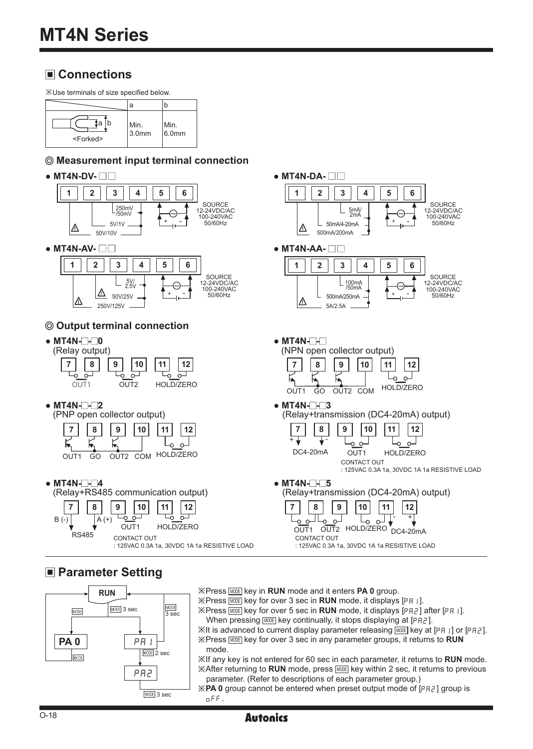# **Connections**

※Use terminals of size specified below.

|                         | a             |               |
|-------------------------|---------------|---------------|
| tа<br><forked></forked> | Min.<br>3.0mm | Min.<br>6.0mm |

#### **Measurement input terminal connection**



# **Parameter Setting**

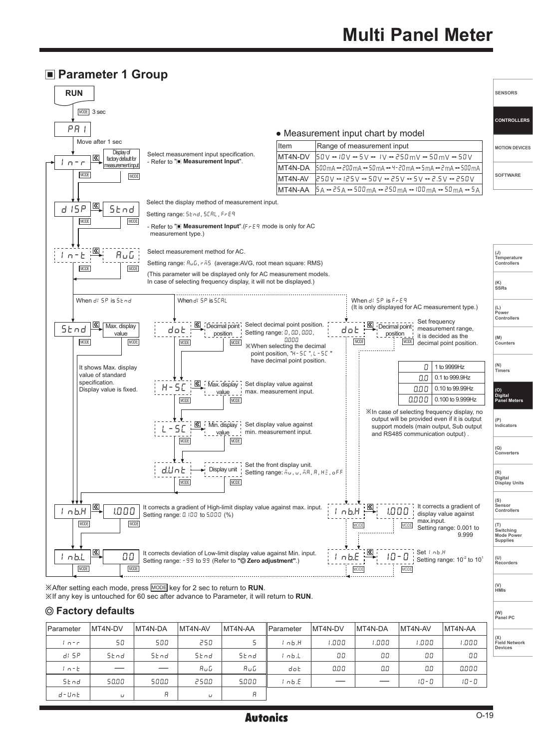#### **Parameter 1 Group**



#### **Factory defaults**

| Parameter | MT4N-DV          | MT4N-DA                  | MT4N-AV | MT4N-AA | <b>I</b> Parameter | MT4N-DV | MT4N-DA | MT4N-AV | MT4N-AA |                             |
|-----------|------------------|--------------------------|---------|---------|--------------------|---------|---------|---------|---------|-----------------------------|
|           |                  |                          |         |         |                    |         |         |         |         | (X)<br><b>Field Network</b> |
| $n-r$     | 50               | 500                      | 250     |         | ' nb.H             | ססס. ו  | 1.000   | 1.000   | 1.000   | <b>Devices</b>              |
| di SP     | 5 <sub>tnd</sub> | Stnd                     | Stnd    | Stnd    | nb.L               | 00      | 00      | 00      | 00      |                             |
| $1n-k$    |                  | $\overline{\phantom{a}}$ | AuG     | AuG     | dot                | 0.00    | 0.0     | 0.0     | 0.000   |                             |
| Stnd      | 50.00            | 500.0                    | 250.0   | 5.000   | ' nb.E             |         |         | 10-0    | 10 - 0  |                             |
| d-Unb     | U                | Я                        | $\cup$  | R       |                    |         |         |         |         |                             |

**(W) Panel PC**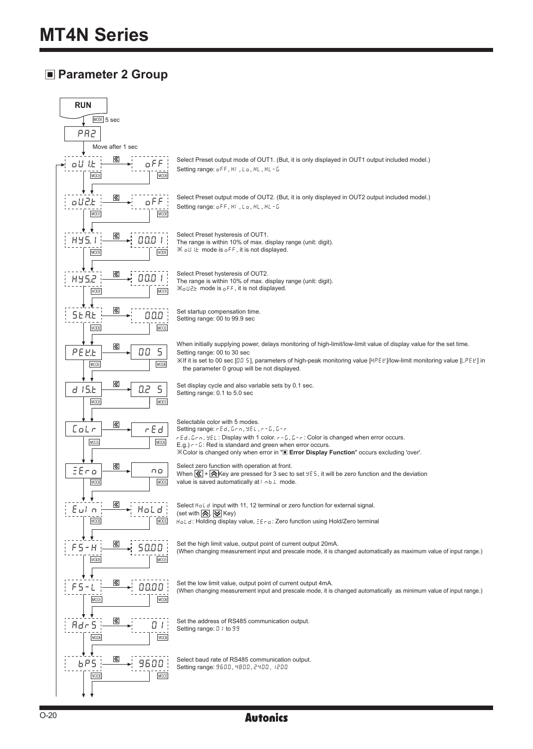# **Parameter 2 Group**

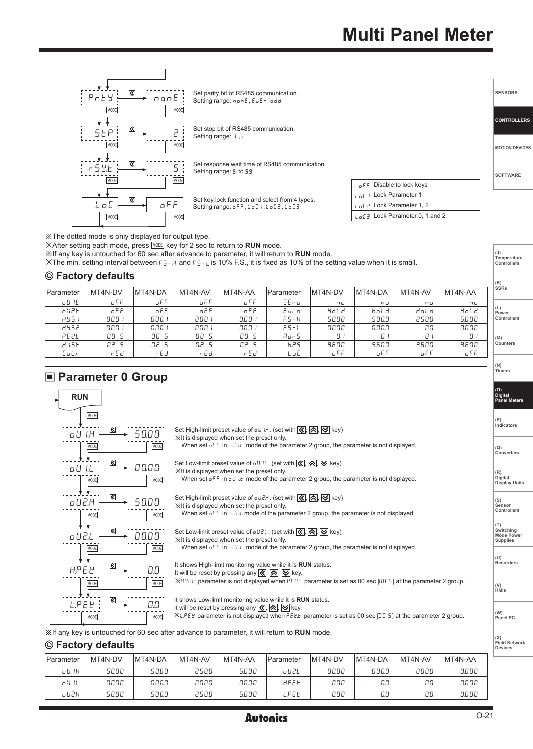

※The dotted mode is only displayed for output type.

※After setting each mode, press MODE key for 2 sec to return to **RUN** mode.

※If any key is untouched for 60 sec after advance to parameter, it will return to **RUN** mode.

※The min. setting interval between FS-H and FS-Lis 10% F.S., it is fixed as 10% of the setting value when it is small.

#### **Factory defaults**

| $\epsilon$ . actor , actually |                 |         |         |         |                   |         |                 |         |         | (K)<br>SSRs |
|-------------------------------|-----------------|---------|---------|---------|-------------------|---------|-----------------|---------|---------|-------------|
| Parameter                     | <b>IMT4N-DV</b> | MT4N-DA | MT4N-AV | MT4N-AA | <b>IParameter</b> | MT4N-DV | <b>IMT4N-DA</b> | MT4N-AV | MT4N-AA |             |
| oU I.E                        | o F F           | oFF     | oFF     | oFF     | EEro              | no      | n o             | n o     | 00      |             |
| oU2.E                         | oFF             | oFF     | oFF     | oFF     | Eul n             | Hold    | Hold            | Hold    | Hold    | Power       |
| HY5.1                         | 000             | 000.1   | 000.    | 0.00 l  | FS-H              | 50.00   | 500.0           | 250.0   | 5.000   | Controllers |
| HY5.2                         | 00.0            | 000.1   | 000. .  | 0.00 .  | $FS-L$            | 00.00   | 000.0           | 0.0     | 0.000   |             |
| PEEE                          | OO 5            | OO 5    | OO 5    | OO 5    | Adr 5             | Ω.      | 01              | Ω.      | 01      | (M)         |
| d 15.E                        | Q2 5            | O.Z     | O.2     | O.2 S   | bP5               | 9600    | 9600            | 9600    | 9600    | Counters    |
| colr.                         | r E d           | r E d   | rEd     | r E d   | L o C             | oFF     | oFF             | oFF     | oFF     |             |

#### **Parameter 0 Group**

| <b>RUN</b>                                                                                                                                                                                                                                                                                                                                            | (O)<br>Digital<br><b>Panel Meters</b>                    |
|-------------------------------------------------------------------------------------------------------------------------------------------------------------------------------------------------------------------------------------------------------------------------------------------------------------------------------------------------------|----------------------------------------------------------|
| <b>MODE</b><br>Set High-limit preset value of $_0$ U I.H. (set with $\mathcal{K}$ , $\mathcal{R}$ , $\mathcal{R}$ , $\mathcal{V}$ key)<br> ≪<br>I.H<br>50.00<br>٥U                                                                                                                                                                                    | (P)<br>Indicators                                        |
| XIt is displayed when set the preset only.<br>When set $oFF$ in $oU$ I. mode of the parameter 2 group, the parameter is not displayed.<br>MODE<br>MODE                                                                                                                                                                                                | (Q)<br>Converters                                        |
| ⊗<br>Set Low-limit preset value of $_0$ U IL . (set with $\overline{\langle \langle \langle}, \overline{\rangle} \rangle$ , $\overline{\langle \rangle}$ key)<br>00.00 }<br>٥U<br>XIt is displayed when set the preset only.<br>When set $\sigma$ FF in $\sigma U$ I.E mode of the parameter 2 group, the parameter is not displayed.<br>MODE<br>MODE | (R)<br>Digital<br><b>Display Units</b>                   |
| ⊗<br>Set High-limit preset value of $_0 UZH$ . (set with $\mathcal{R}$ , $\mathcal{R}$ , $\mathcal{R}$ , $\mathcal{R}$ key)<br>50.00 i<br>oU2.H<br>Xilt is displayed when set the preset only.<br>When set $_0$ FF in $_0$ U2E mode of the parameter 2 group, the parameter is not displayed.<br>MODE<br>MODE                                         | (S)<br>Sensor<br><b>Controllers</b>                      |
| ≪<br>Set Low-limit preset value of $\sigma$ UZL. (set with $\mathcal{R}$ , $\mathcal{R}$ , $\mathcal{R}$ , $\mathcal{R}$ key)<br>oU2.L<br>00.00<br>Xilt is displayed when set the preset only.<br>When set $_0$ FF in $_0$ U2 k mode of the parameter 2 group, the parameter is not displayed.<br><b>MCOE</b><br>/ODE                                 | (T)<br>Switching<br><b>Mode Power</b><br><b>Supplies</b> |
| «<br>It shows High-limit monitoring value while it is RUN status.<br>HPEP<br>0.0 i<br>It will be reset by pressing any $\langle \langle \cdot   \cdot \rangle \rangle$ key.                                                                                                                                                                           | (U)<br>Recorders                                         |
| XHPEL parameter is not displayed when PELL parameter is set as 00 sec [00 5] at the parameter 2 group.<br>MODE<br>MODE<br>«<br>It shows Low-limit monitoring value while it is RUN status.                                                                                                                                                            | (V)<br><b>HMIs</b>                                       |
| IPFF<br>0.0<br>It will be reset by pressing any $\boxed{\mathcal{R}}$ , $\boxed{\mathcal{R}}$ , $\boxed{\mathcal{S}}$ key.<br>$XLPEE$ parameter is not displayed when PEE. parameter is set as 00 sec [00 5] at the parameter 2 group.<br><b>MODE</b><br>MODE                                                                                         | (W)<br>Panel PC                                          |
| Xif any key is untouched for 60 sec after advance to parameter, it will return to RUN mode.                                                                                                                                                                                                                                                           |                                                          |

#### **Factory defaults**

| <b>Parameter</b> | MT4N-DV | MT4N-DA | MT4N-AV | MT4N-AA | <b>IParameter</b> | <b>IMT4N-DV</b> | MT4N-DA | MT4N-AV  | MT4N-AA |
|------------------|---------|---------|---------|---------|-------------------|-----------------|---------|----------|---------|
| oU I.H           | 50.00   | 50.00   | 250.0   | 5.000   | oU2.L             | 00.00           | 000.0   | 000.0    | 0.000   |
| oU IL            | 00.00   | aaaa    | 000.0   | 0.000   | HPEP              | 0.00            | 0.0     | пn<br>üυ | 0.000   |
| oUZ.H            | 50.00   | 500.0   | 250.0   | 5.000   | L.PE L'           | 0.00            | 0.0     | 0.0      | 0.000   |

**(X) Field Network Devices**

**(J) Temperature Controllers**

**(N) Timers**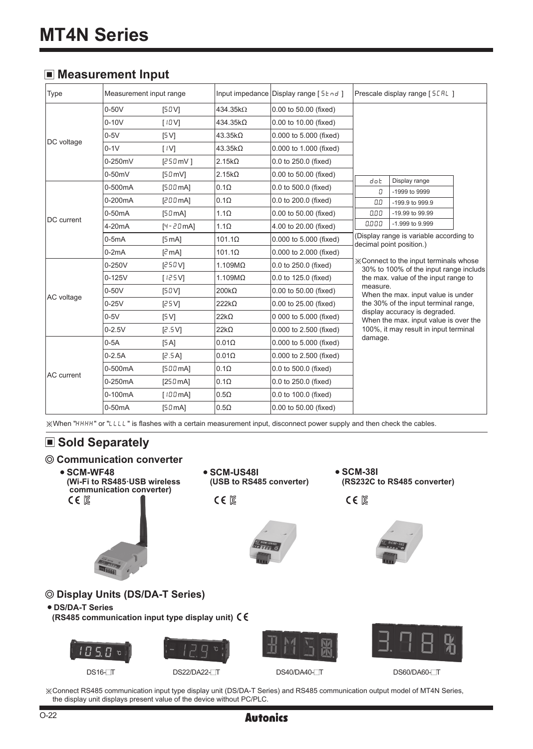#### **Measurement Input**

| Type              | Measurement input range |                            |                | Input impedance Display range [5 } nd ] | Prescale display range [5[RL]                                                           |                                                                        |  |
|-------------------|-------------------------|----------------------------|----------------|-----------------------------------------|-----------------------------------------------------------------------------------------|------------------------------------------------------------------------|--|
|                   | $0-50V$                 | [50V]                      | 434.35kQ       | 0.00 to 50.00 (fixed)                   |                                                                                         |                                                                        |  |
|                   | $0 - 10V$               | [10V]                      | 434.35kΩ       | 0.00 to 10.00 (fixed)                   |                                                                                         |                                                                        |  |
|                   | $0-5V$                  | [5 V]                      | 43.35kΩ        | 0.000 to 5.000 (fixed)                  |                                                                                         |                                                                        |  |
| DC voltage        | $0-1V$                  | $\lceil$ $\lceil$ $\lceil$ | $43.35k\Omega$ | 0.000 to 1.000 (fixed)                  |                                                                                         |                                                                        |  |
|                   | 0-250mV                 | [250mV]                    | $2.15k\Omega$  | 0.0 to 250.0 (fixed)                    |                                                                                         |                                                                        |  |
|                   | $0-50mV$                | $[50 \text{ mV}]$          | $2.15k\Omega$  | 0.00 to 50.00 (fixed)                   |                                                                                         |                                                                        |  |
|                   | 0-500mA                 | [500mA]                    | $0.1\Omega$    | 0.0 to 500.0 (fixed)                    | dot<br>Л                                                                                | Display range<br>-1999 to 9999                                         |  |
|                   | 0-200mA                 | [200mA]                    | $0.1\Omega$    | 0.0 to 200.0 (fixed)                    | 0.0                                                                                     | -199.9 to 999.9                                                        |  |
| DC current        | $0-50mA$                | $[50 \text{ mA}]$          | $1.1\Omega$    | 0.00 to 50.00 (fixed)                   | 0.00                                                                                    | -19.99 to 99.99                                                        |  |
|                   | 4-20 <sub>m</sub> A     | $[4 - 20$ mA]              | $1.1\Omega$    | 4.00 to 20.00 (fixed)                   | 0.000                                                                                   | -1.999 to 9.999                                                        |  |
|                   | $0-5mA$                 | [5 mA]                     | $101.1\Omega$  | 0.000 to 5.000 (fixed)                  | (Display range is variable according to<br>decimal point position.)                     |                                                                        |  |
|                   | $0-2mA$                 | $[2 \text{ mA}]$           | $101.1\Omega$  | 0.000 to 2.000 (fixed)                  |                                                                                         |                                                                        |  |
|                   | $0 - 250V$              | [250V]                     | $1.109M\Omega$ | 0.0 to 250.0 (fixed)                    | <b>X</b> Connect to the input terminals whose<br>30% to 100% of the input range includs |                                                                        |  |
|                   | $0 - 125V$              | [125V]                     | $1.109M\Omega$ | 0.0 to 125.0 (fixed)                    | the max. value of the input range to                                                    |                                                                        |  |
|                   | $0-50V$                 | [50V]                      | $200k\Omega$   | 0.00 to 50.00 (fixed)                   | measure.                                                                                | When the max. input value is under                                     |  |
| AC voltage        | $0-25V$                 | [25V]                      | $222k\Omega$   | 0.00 to 25.00 (fixed)                   |                                                                                         | the 30% of the input terminal range.                                   |  |
|                   | $0-5V$                  | [5V]                       | $22k\Omega$    | 0 000 to 5.000 (fixed)                  |                                                                                         | display accuracy is degraded.<br>When the max. input value is over the |  |
|                   | $0 - 2.5V$              | [2.5V]                     | $22k\Omega$    | 0.000 to 2.500 (fixed)                  |                                                                                         | 100%, it may result in input terminal                                  |  |
|                   | $0-5A$                  | [5A]                       | $0.01\Omega$   | 0.000 to 5.000 (fixed)                  | damage.                                                                                 |                                                                        |  |
|                   | $0-2.5A$                | [2.5A]                     | $0.01\Omega$   | 0.000 to 2.500 (fixed)                  |                                                                                         |                                                                        |  |
| <b>AC</b> current | 0-500mA                 | [500mA]                    | $0.1\Omega$    | 0.0 to 500.0 (fixed)                    |                                                                                         |                                                                        |  |
|                   | 0-250mA                 | [250mA]                    | $0.1\Omega$    | 0.0 to 250.0 (fixed)                    |                                                                                         |                                                                        |  |
|                   | 0-100mA                 | [100mA]                    | $0.5\Omega$    | 0.0 to 100.0 (fixed)                    |                                                                                         |                                                                        |  |
|                   | 0-50mA                  | $[50 \text{ mA}]$          | $0.5\Omega$    | 0.00 to 50.00 (fixed)                   |                                                                                         |                                                                        |  |

※When "HHHH" or "LLLL" is flashes with a certain measurement input, disconnect power supply and then check the cables.

# ■ Sold Separately



the display unit displays present value of the device without PC/PLC.

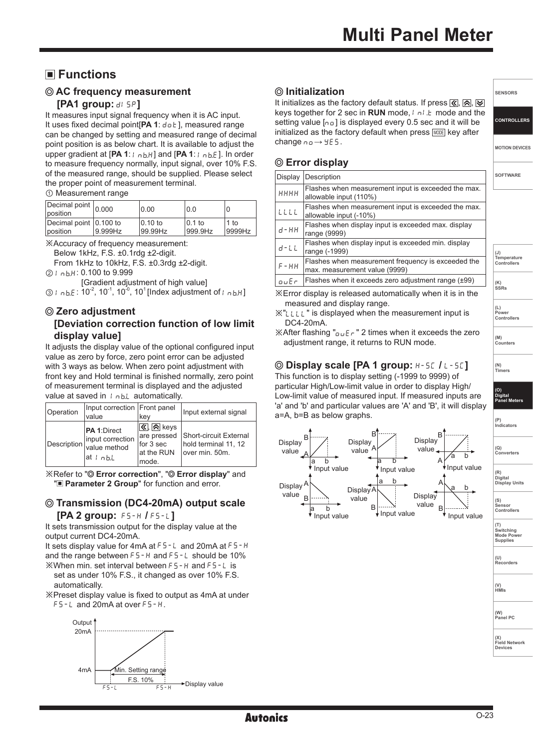# **Functions**

## **AC frequency measurement**

#### **[PA1 group: di SP]**

It measures input signal frequency when it is AC input. It uses fixed decimal point<sup>[PA 1: dot], measured range</sup> can be changed by setting and measured range of decimal point position is as below chart. It is available to adjust the upper gradient at [PA 1: I nbH] and [PA 1: I nb.E]. In order to measure frequency normally, input signal, over 10% F.S. of the measured range, should be supplied. Please select the proper point of measurement terminal.

① Measurement range

| Decimal point $ _{0.000}$<br>position |         | 0.00       | 0.0       |        |
|---------------------------------------|---------|------------|-----------|--------|
| Decimal point 0.100 to                | 9.999Hz | $10.10$ to | $10.1$ to | 1 to   |
| position                              |         | 99.99Hz    | 999.9Hz   | 9999Hz |

※Accuracy of frequency measurement:

Below 1kHz, F.S. ±0.1rdg ±2-digit.

From 1kHz to 10kHz, F.S. ±0.3rdg ±2-digit. 2 | nb.H: 0.100 to 9.999

[Gradient adjustment of high value]

 $\textcircled{3}$  I  $\text{o}$  b. E: 10<sup>-2</sup>, 10<sup>-1</sup>, 10<sup>-0</sup>, 10<sup>1</sup> [Index adjustment of I  $\text{o}$  b. H]

#### **Zero adjustment [Deviation correction function of low limit display value]**

It adjusts the display value of the optional configured input value as zero by force, zero point error can be adjusted with 3 ways as below. When zero point adjustment with front key and Hold terminal is finished normally, zero point of measurement terminal is displayed and the adjusted value at saved in  $I_{n bL}$  automatically.

| Operation   | Input correction Front panel<br>value                       | kev                                                                                                         | Input external signal                                                         |
|-------------|-------------------------------------------------------------|-------------------------------------------------------------------------------------------------------------|-------------------------------------------------------------------------------|
| Description | PA 1:Direct<br>input correction<br>value method<br>at I nhi | $\overline{\left\langle \left\langle \right\rangle \right\rangle}$ keys<br>for 3 sec<br>at the RUN<br>mode. | are pressed Short-circuit External<br>hold terminal 11, 12<br>lover min. 50m. |

※Refer to " **Error correction**", " **Error display**" and "**Parameter 2 Group**" for function and error.

#### **Transmission (DC4-20mA) output scale [PA 2 group:** FS-H **/** FS-L**]**

It sets transmission output for the display value at the output current DC4-20mA.

It sets display value for 4mA at F5-L and 20mA at F5-H and the range between  $F5-H$  and  $F5-L$  should be 10%

※When min. set interval between FS-H and FS-L is set as under 10% F.S., it changed as over 10% F.S. automatically.

※Preset display value is fixed to output as 4mA at under FS-L and 20mA at over FS-H.



## **Initialization**

It initializes as the factory default status. If press  $\boxed{\&}$ ,  $\boxed{\&}$ ,  $\boxed{\&}$ keys together for 2 sec in **RUN** mode, I all the mode and the setting value  $[n_0]$  is displayed every 0.5 sec and it will be initialized as the factory default when press MODE key after change  $no \rightarrow 4E5$ .

## **Error display**

| Display    | Description                                                                         |
|------------|-------------------------------------------------------------------------------------|
| нннн       | Flashes when measurement input is exceeded the max.<br>allowable input (110%)       |
| LLLL       | Flashes when measurement input is exceeded the max.<br>allowable input (-10%)       |
| $d$ - $HH$ | Flashes when display input is exceeded max. display<br>range (9999)                 |
| $d-L$      | Flashes when display input is exceeded min. display<br>range (-1999)                |
| $F - HH$   | Flashes when measurement frequency is exceeded the<br>max. measurement value (9999) |
| ouEr       | Flashes when it exceeds zero adjustment range $(\pm 99)$                            |

※Error display is released automatically when it is in the measured and display range.

※"LLLL" is displayed when the measurement input is DC4-20mA.

 $\mathbb X$ After flashing " $\overline{O}$   $\overline{E}$   $\overline{F}$ " 2 times when it exceeds the zero adiustment range, it returns to RUN mode.

# **Display scale [PA 1 group:** H-SC **/** L-SC**]**

This function is to display setting (-1999 to 9999) of particular High/Low-limit value in order to display High/ Low-limit value of measured input. If measured inputs are 'a' and 'b' and particular values are 'A' and 'B', it will display a=A, b=B as below graphs.





**SENSORS**

**CONTROLLERS**

**MOTION DEVICES**

**SOFTWARE**

**(J) Temperature Controllers**

**(K) SSRs**

**(L) Power Controllers**

**(M) Counters** 

**(N) Timers**

**(O) Digital Panel Meters** 

**(P) Indicators**

**(Q) Converters**

**(V) HMIs**

**Recorders**

**Panel PC**

**(W)**

**(X) Field Network Devices**